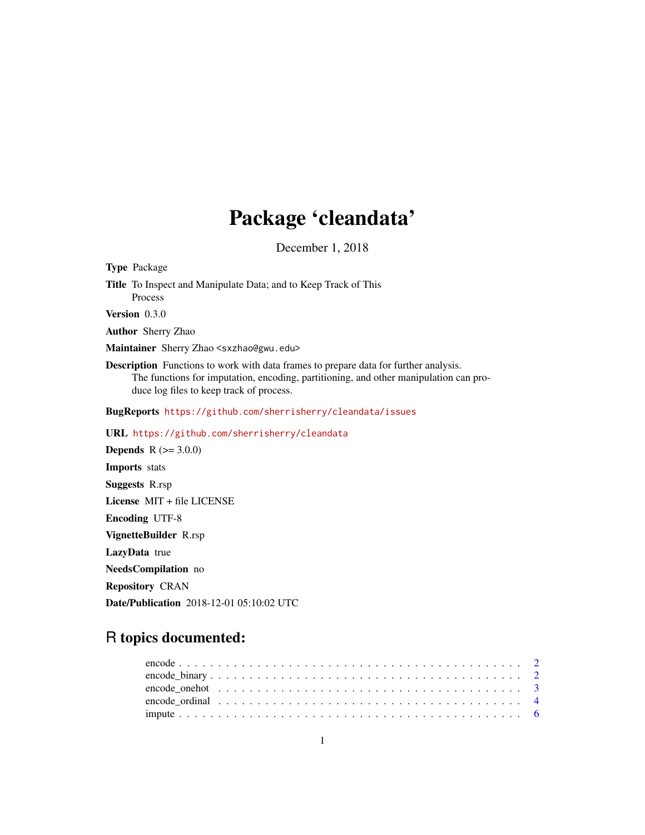## Package 'cleandata'

December 1, 2018

<span id="page-0-0"></span>Type Package Title To Inspect and Manipulate Data; and to Keep Track of This Process Version 0.3.0 Author Sherry Zhao Maintainer Sherry Zhao <sxzhao@gwu.edu> Description Functions to work with data frames to prepare data for further analysis. The functions for imputation, encoding, partitioning, and other manipulation can produce log files to keep track of process. BugReports <https://github.com/sherrisherry/cleandata/issues> URL <https://github.com/sherrisherry/cleandata> **Depends** R  $(>= 3.0.0)$ Imports stats Suggests R.rsp License MIT + file LICENSE Encoding UTF-8 VignetteBuilder R.rsp LazyData true NeedsCompilation no Repository CRAN

R topics documented:

Date/Publication 2018-12-01 05:10:02 UTC

| encode onehot $\ldots \ldots \ldots \ldots \ldots \ldots \ldots \ldots \ldots \ldots \ldots \ldots$ |
|-----------------------------------------------------------------------------------------------------|
|                                                                                                     |
|                                                                                                     |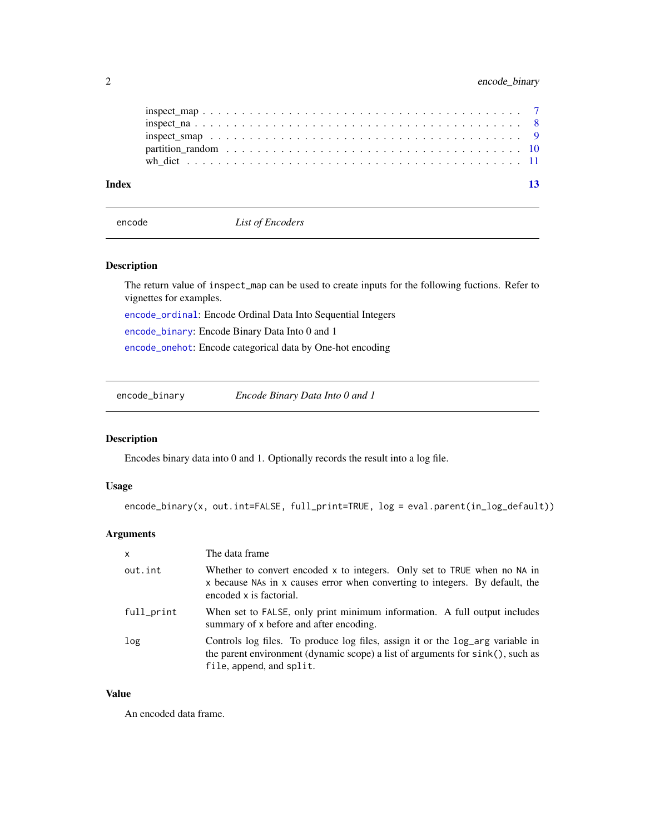<span id="page-1-0"></span>

| Index |  |
|-------|--|
|       |  |
|       |  |
|       |  |
|       |  |
|       |  |

<span id="page-1-2"></span>encode *List of Encoders*

#### Description

The return value of inspect\_map can be used to create inputs for the following fuctions. Refer to vignettes for examples.

[encode\\_ordinal](#page-3-1): Encode Ordinal Data Into Sequential Integers

[encode\\_binary](#page-1-1): Encode Binary Data Into 0 and 1

[encode\\_onehot](#page-2-1): Encode categorical data by One-hot encoding

<span id="page-1-1"></span>encode\_binary *Encode Binary Data Into 0 and 1*

#### Description

Encodes binary data into 0 and 1. Optionally records the result into a log file.

#### Usage

encode\_binary(x, out.int=FALSE, full\_print=TRUE, log = eval.parent(in\_log\_default))

#### Arguments

| $\mathsf{x}$ | The data frame                                                                                                                                                                               |
|--------------|----------------------------------------------------------------------------------------------------------------------------------------------------------------------------------------------|
| out.int      | Whether to convert encoded x to integers. Only set to TRUE when no NA in<br>x because NAs in x causes error when converting to integers. By default, the<br>encoded x is factorial.          |
| full_print   | When set to FALSE, only print minimum information. A full output includes<br>summary of x before and after encoding.                                                                         |
| log          | Controls log files. To produce log files, assign it or the log_arg variable in<br>the parent environment (dynamic scope) a list of arguments for sink(), such as<br>file, append, and split. |

#### Value

An encoded data frame.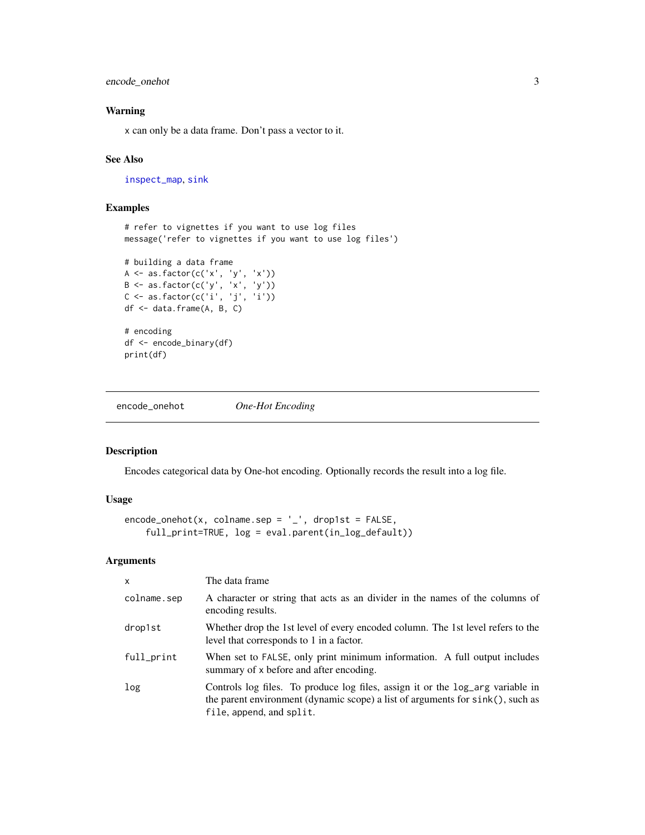<span id="page-2-0"></span>encode\_onehot 3

#### Warning

x can only be a data frame. Don't pass a vector to it.

#### See Also

[inspect\\_map](#page-6-1), [sink](#page-0-0)

#### Examples

# refer to vignettes if you want to use log files message('refer to vignettes if you want to use log files')

```
# building a data frame
A <- as.factor(c('x', 'y', 'x'))
B <- as.factor(c('y', 'x', 'y'))
C \leftarrow \text{as}.factor(c('i', 'j', 'i'))df <- data.frame(A, B, C)
# encoding
df <- encode_binary(df)
print(df)
```
<span id="page-2-1"></span>encode\_onehot *One-Hot Encoding*

#### Description

Encodes categorical data by One-hot encoding. Optionally records the result into a log file.

#### Usage

```
encode\_onehot(x, colname.\nsep = '-'', drop1st = FALSE,full_print=TRUE, log = eval.parent(in_log_default))
```
#### Arguments

| $\mathsf{x}$ | The data frame                                                                                                                                                                                  |
|--------------|-------------------------------------------------------------------------------------------------------------------------------------------------------------------------------------------------|
| colname.sep  | A character or string that acts as an divider in the names of the columns of<br>encoding results.                                                                                               |
| drop1st      | Whether drop the 1st level of every encoded column. The 1st level refers to the<br>level that corresponds to 1 in a factor.                                                                     |
| full_print   | When set to FALSE, only print minimum information. A full output includes<br>summary of x before and after encoding.                                                                            |
| log          | Controls log files. To produce log files, assign it or the log_arg variable in<br>the parent environment (dynamic scope) a list of arguments for $sink()$ , such as<br>file, append, and split. |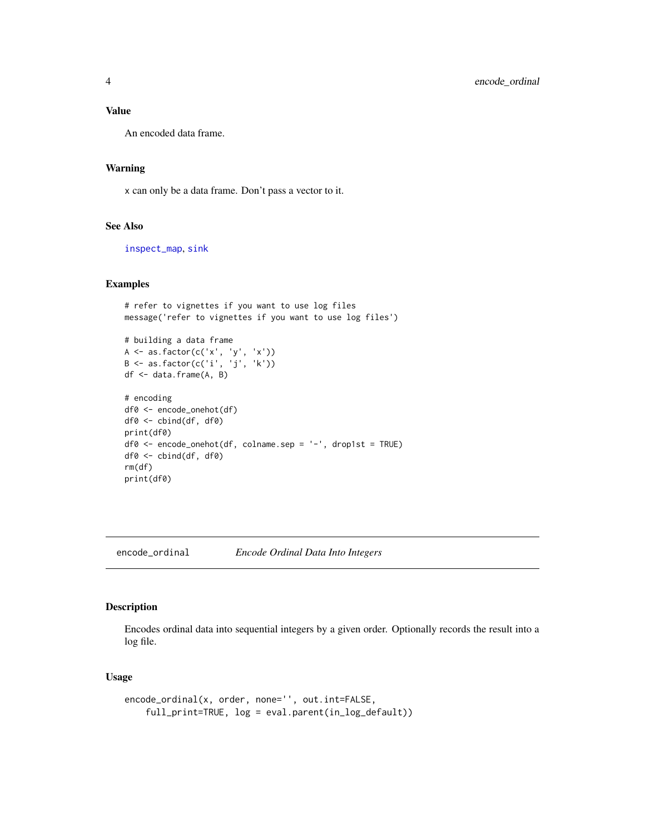#### <span id="page-3-0"></span>Value

An encoded data frame.

#### Warning

x can only be a data frame. Don't pass a vector to it.

#### See Also

[inspect\\_map](#page-6-1), [sink](#page-0-0)

#### Examples

# refer to vignettes if you want to use log files message('refer to vignettes if you want to use log files')

# building a data frame A <- as.factor(c('x', 'y', 'x')) B <- as.factor(c('i', 'j', 'k')) df <- data.frame(A, B)

```
# encoding
df0 <- encode_onehot(df)
df0 <- cbind(df, df0)
print(df0)
df0 <- encode_onehot(df, colname.sep = '-', drop1st = TRUE)
df0 <- cbind(df, df0)
rm(df)
print(df0)
```

```
encode_ordinal Encode Ordinal Data Into Integers
```
#### Description

Encodes ordinal data into sequential integers by a given order. Optionally records the result into a log file.

#### Usage

```
encode_ordinal(x, order, none='', out.int=FALSE,
   full_print=TRUE, log = eval.parent(in_log_default))
```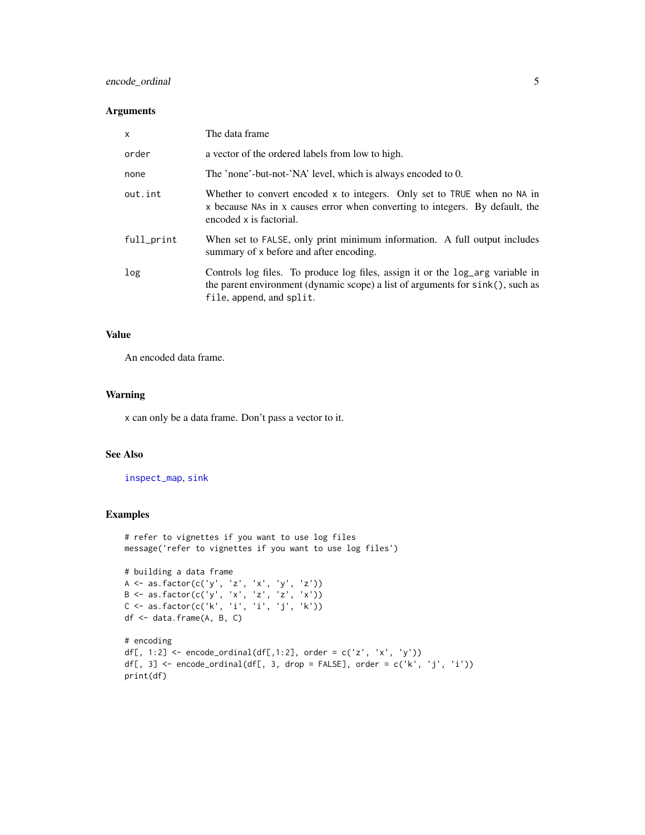#### encode\_ordinal 5

#### Arguments

| X          | The data frame                                                                                                                                                                               |
|------------|----------------------------------------------------------------------------------------------------------------------------------------------------------------------------------------------|
| order      | a vector of the ordered labels from low to high.                                                                                                                                             |
| none       | The 'none'-but-not-'NA' level, which is always encoded to 0.                                                                                                                                 |
| out.int    | Whether to convert encoded x to integers. Only set to TRUE when no NA in<br>x because NAs in x causes error when converting to integers. By default, the<br>encoded x is factorial.          |
| full_print | When set to FALSE, only print minimum information. A full output includes<br>summary of x before and after encoding.                                                                         |
| log        | Controls log files. To produce log files, assign it or the log_arg variable in<br>the parent environment (dynamic scope) a list of arguments for sink(), such as<br>file, append, and split. |

#### Value

An encoded data frame.

#### Warning

x can only be a data frame. Don't pass a vector to it.

#### See Also

[inspect\\_map](#page-6-1), [sink](#page-0-0)

```
# refer to vignettes if you want to use log files
message('refer to vignettes if you want to use log files')
# building a data frame
A <- as.factor(c('y', 'z', 'x', 'y', 'z'))
B <- as.factor(c('y', 'x', 'z', 'z', 'x'))
C <- as.factor(c('k', 'i', 'i', 'j', 'k'))
df <- data.frame(A, B, C)
# encoding
df[, 1:2] <- encode_ordinal(df[,1:2], order = c('z', 'x', 'y'))
df[, 3] <- encode_ordinal(df[, 3, drop = FALSE], order = c('k', 'j', 'i'))
print(df)
```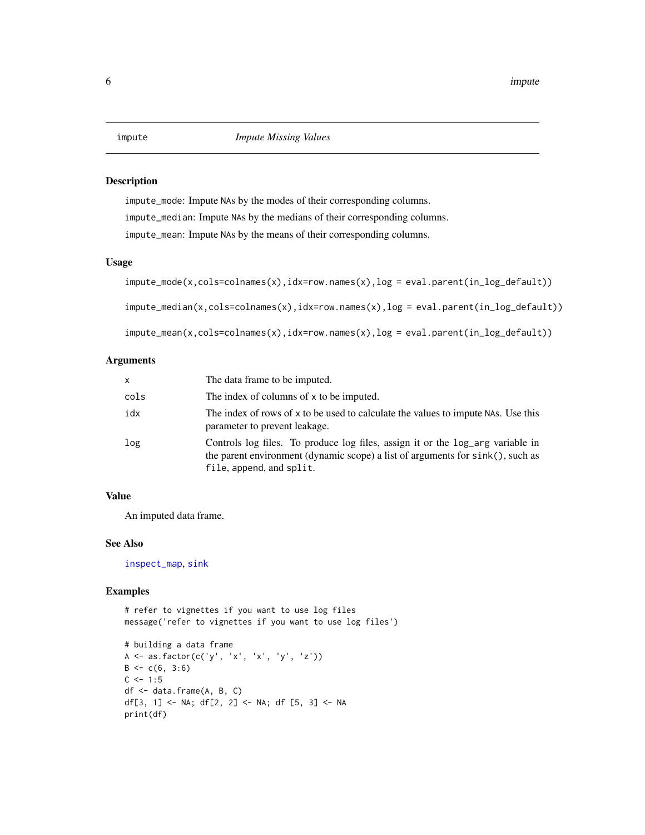#### <span id="page-5-1"></span><span id="page-5-0"></span>Description

impute\_mode: Impute NAs by the modes of their corresponding columns. impute\_median: Impute NAs by the medians of their corresponding columns. impute\_mean: Impute NAs by the means of their corresponding columns.

#### Usage

```
impute_mode(x,cols=colnames(x),idx=row.names(x),log = eval.parent(in_log_default))
impute_median(x,cols=colnames(x),idx=row.names(x),log = eval.parent(in_log_default))
impute_mean(x,cols=colnames(x),idx=row.names(x),log = eval.parent(in_log_default))
```
#### Arguments

| X    | The data frame to be imputed.                                                                                                                                                                |
|------|----------------------------------------------------------------------------------------------------------------------------------------------------------------------------------------------|
| cols | The index of columns of x to be imputed.                                                                                                                                                     |
| idx  | The index of rows of x to be used to calculate the values to impute NAS. Use this<br>parameter to prevent leakage.                                                                           |
| log  | Controls log files. To produce log files, assign it or the log_arg variable in<br>the parent environment (dynamic scope) a list of arguments for sink(), such as<br>file, append, and split. |

#### Value

An imputed data frame.

#### See Also

[inspect\\_map](#page-6-1), [sink](#page-0-0)

#### Examples

# refer to vignettes if you want to use log files message('refer to vignettes if you want to use log files')

```
# building a data frame
A <- as.factor(c('y', 'x', 'x', 'y', 'z'))
B \leftarrow c(6, 3:6)C \le -1:5df <- data.frame(A, B, C)
df[3, 1] <- NA; df[2, 2] <- NA; df [5, 3] <- NA
print(df)
```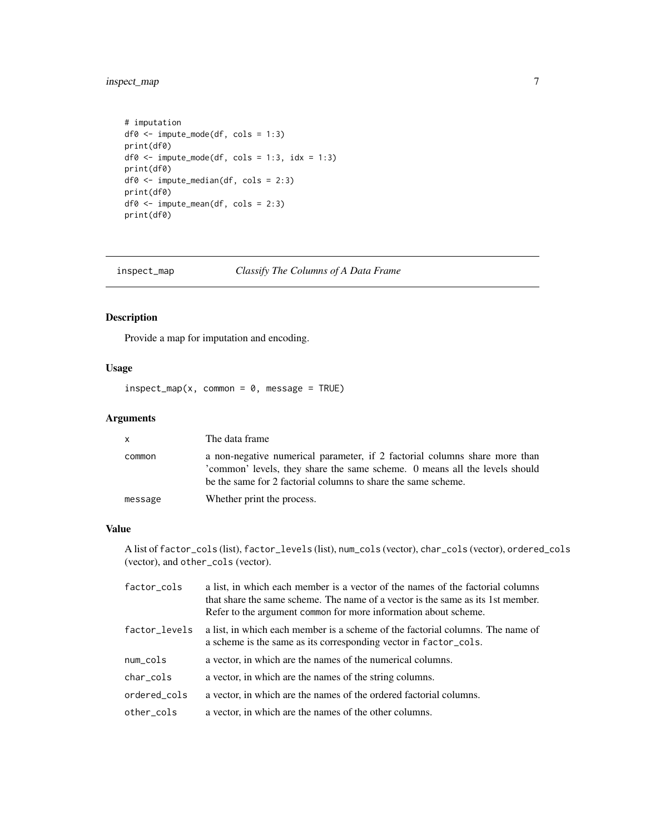### <span id="page-6-0"></span>inspect\_map 7

```
# imputation
df0 <- impute_mode(df, cols = 1:3)
print(df0)
df0 \leftarrow impute_mode(df, cols = 1:3, idx = 1:3)
print(df0)
df0 <- impute_median(df, cols = 2:3)
print(df0)
df0 <- impute_mean(df, cols = 2:3)
print(df0)
```
<span id="page-6-1"></span>inspect\_map *Classify The Columns of A Data Frame*

#### Description

Provide a map for imputation and encoding.

#### Usage

 $inspect_map(x, common = 0, message = TRUE)$ 

#### Arguments

| $\mathsf{X}$ | The data frame                                                                                                                                                                                                           |
|--------------|--------------------------------------------------------------------------------------------------------------------------------------------------------------------------------------------------------------------------|
| common       | a non-negative numerical parameter, if 2 factorial columns share more than<br>common' levels, they share the same scheme. O means all the levels should<br>be the same for 2 factorial columns to share the same scheme. |
| message      | Whether print the process.                                                                                                                                                                                               |

#### Value

A list of factor\_cols (list), factor\_levels (list), num\_cols (vector), char\_cols (vector), ordered\_cols (vector), and other\_cols (vector).

| factor_cols   | a list, in which each member is a vector of the names of the factorial columns<br>that share the same scheme. The name of a vector is the same as its 1st member.<br>Refer to the argument common for more information about scheme. |
|---------------|--------------------------------------------------------------------------------------------------------------------------------------------------------------------------------------------------------------------------------------|
| factor_levels | a list, in which each member is a scheme of the factorial columns. The name of<br>a scheme is the same as its corresponding vector in factor_cols.                                                                                   |
| num_cols      | a vector, in which are the names of the numerical columns.                                                                                                                                                                           |
| char_cols     | a vector, in which are the names of the string columns.                                                                                                                                                                              |
| ordered cols  | a vector, in which are the names of the ordered factorial columns.                                                                                                                                                                   |
| other_cols    | a vector, in which are the names of the other columns.                                                                                                                                                                               |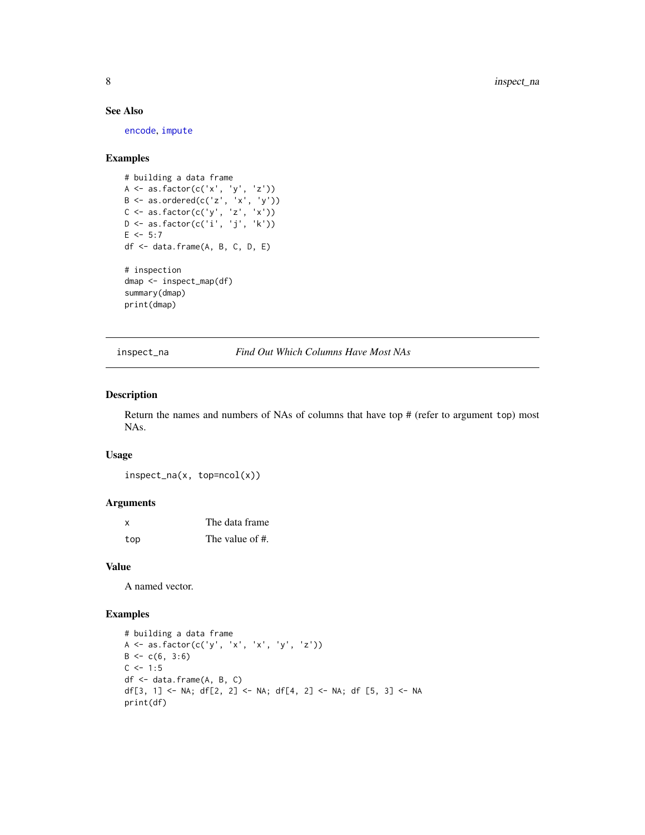#### See Also

[encode](#page-1-2), [impute](#page-5-1)

#### Examples

```
# building a data frame
A <- as.factor(c('x', 'y', 'z'))
B \leq -a s.ordered(c('z', 'x', 'y'))C <- as.factor(c('y', 'z', 'x'))
D <- as.factor(c('i', 'j', 'k'))
E \le -5:7df <- data.frame(A, B, C, D, E)
# inspection
dmap <- inspect_map(df)
summary(dmap)
print(dmap)
```
inspect\_na *Find Out Which Columns Have Most NAs*

#### Description

Return the names and numbers of NAs of columns that have top # (refer to argument top) most NAs.

#### Usage

inspect\_na(x, top=ncol(x))

#### Arguments

| X   | The data frame  |
|-----|-----------------|
| top | The value of #. |

#### Value

A named vector.

```
# building a data frame
A \leftarrow as.factor(c('y', 'x', 'x', 'y', 'z'))B \leftarrow c(6, 3:6)C \le -1:5df <- data.frame(A, B, C)
df[3, 1] <- NA; df[2, 2] <- NA; df[4, 2] <- NA; df [5, 3] <- NA
print(df)
```
<span id="page-7-0"></span>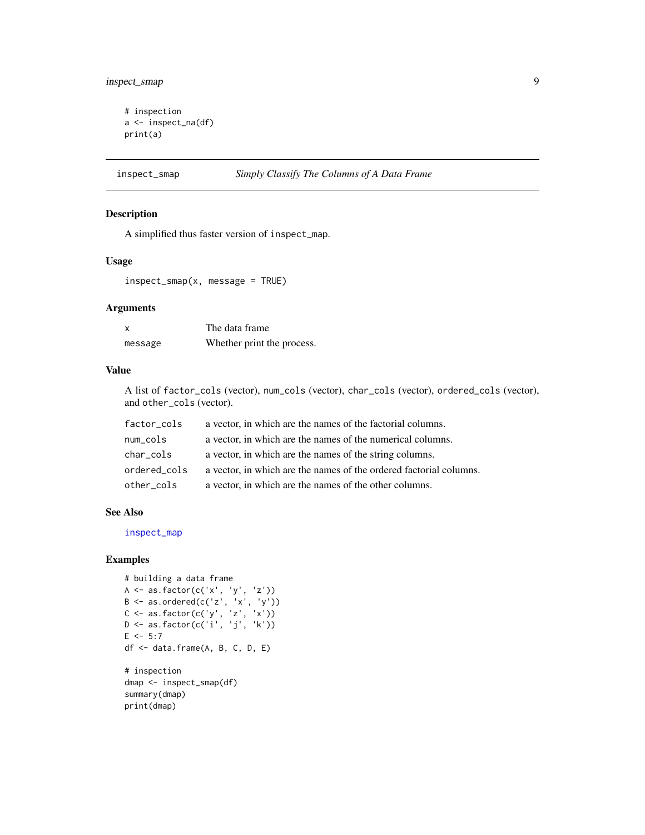#### <span id="page-8-0"></span>inspect\_smap 9

```
# inspection
a <- inspect_na(df)
print(a)
```
### inspect\_smap *Simply Classify The Columns of A Data Frame*

#### Description

A simplified thus faster version of inspect\_map.

#### Usage

inspect\_smap(x, message = TRUE)

#### Arguments

| x       | The data frame             |
|---------|----------------------------|
| message | Whether print the process. |

#### Value

A list of factor\_cols (vector), num\_cols (vector), char\_cols (vector), ordered\_cols (vector), and other\_cols (vector).

| factor_cols  | a vector, in which are the names of the factorial columns.         |
|--------------|--------------------------------------------------------------------|
| num_cols     | a vector, in which are the names of the numerical columns.         |
| char_cols    | a vector, in which are the names of the string columns.            |
| ordered_cols | a vector, in which are the names of the ordered factorial columns. |
| other_cols   | a vector, in which are the names of the other columns.             |

#### See Also

[inspect\\_map](#page-6-1)

```
# building a data frame
A <- as.factor(c('x', 'y', 'z'))
B \leq -a s.ordered(c('z', 'x', 'y'))C \leftarrow \text{as.factor}(c('y', 'z', 'x'))D <- as.factor(c('i', 'j', 'k'))
E \le -5:7df <- data.frame(A, B, C, D, E)
# inspection
dmap <- inspect_smap(df)
summary(dmap)
print(dmap)
```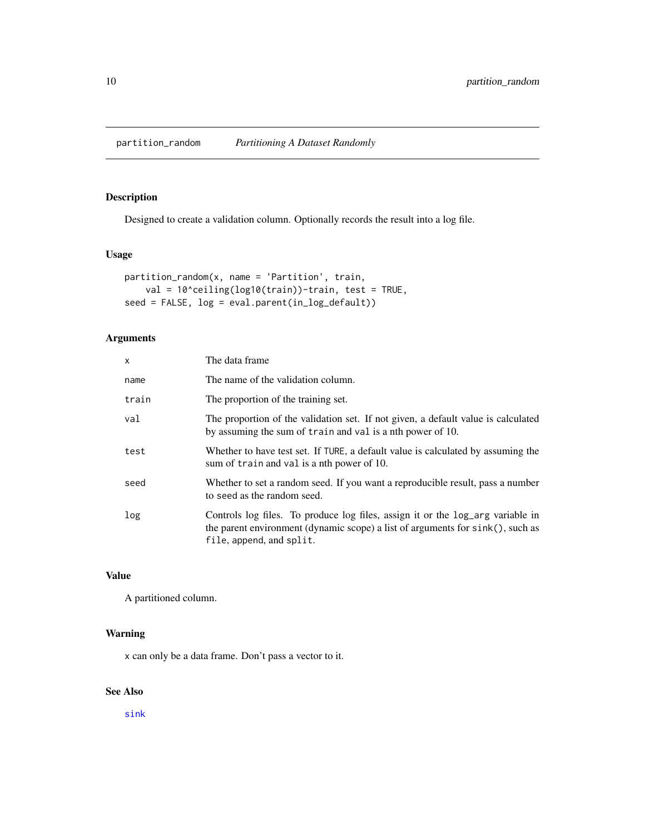<span id="page-9-0"></span>partition\_random *Partitioning A Dataset Randomly*

#### Description

Designed to create a validation column. Optionally records the result into a log file.

### Usage

```
partition_random(x, name = 'Partition', train,
    val = 10^ceiling(log10(train))-train, test = TRUE,
seed = FALSE, log = eval.parent(in_log_default))
```
#### Arguments

| $\mathsf{x}$ | The data frame                                                                                                                                                                                  |
|--------------|-------------------------------------------------------------------------------------------------------------------------------------------------------------------------------------------------|
| name         | The name of the validation column.                                                                                                                                                              |
| train        | The proportion of the training set.                                                                                                                                                             |
| val          | The proportion of the validation set. If not given, a default value is calculated<br>by assuming the sum of train and val is a nth power of 10.                                                 |
| test         | Whether to have test set. If TURE, a default value is calculated by assuming the<br>sum of train and val is a nth power of 10.                                                                  |
| seed         | Whether to set a random seed. If you want a reproducible result, pass a number<br>to seed as the random seed.                                                                                   |
| log          | Controls log files. To produce log files, assign it or the log_arg variable in<br>the parent environment (dynamic scope) a list of arguments for $sink()$ , such as<br>file, append, and split. |

#### Value

A partitioned column.

#### Warning

x can only be a data frame. Don't pass a vector to it.

#### See Also

[sink](#page-0-0)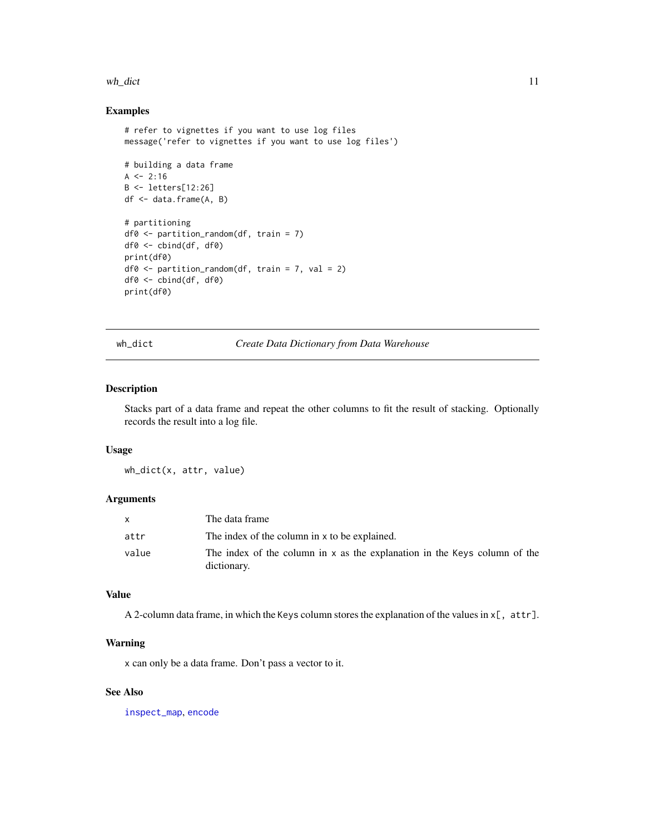#### <span id="page-10-0"></span>wh\_dict 11

#### Examples

```
# refer to vignettes if you want to use log files
message('refer to vignettes if you want to use log files')
# building a data frame
A \le -2:16B <- letters[12:26]
df <- data.frame(A, B)
# partitioning
df0 <- partition_random(df, train = 7)
df0 <- cbind(df, df0)
print(df0)
df0 <- partition_random(df, train = 7, val = 2)
df0 <- cbind(df, df0)
print(df0)
```
wh\_dict *Create Data Dictionary from Data Warehouse*

#### Description

Stacks part of a data frame and repeat the other columns to fit the result of stacking. Optionally records the result into a log file.

#### Usage

wh\_dict(x, attr, value)

#### Arguments

|       | The data frame                                                                           |
|-------|------------------------------------------------------------------------------------------|
| attr  | The index of the column in x to be explained.                                            |
| value | The index of the column in x as the explanation in the Keys column of the<br>dictionary. |

#### Value

A 2-column data frame, in which the Keys column stores the explanation of the values in  $x$ [, attr].

#### Warning

x can only be a data frame. Don't pass a vector to it.

#### See Also

[inspect\\_map](#page-6-1), [encode](#page-1-2)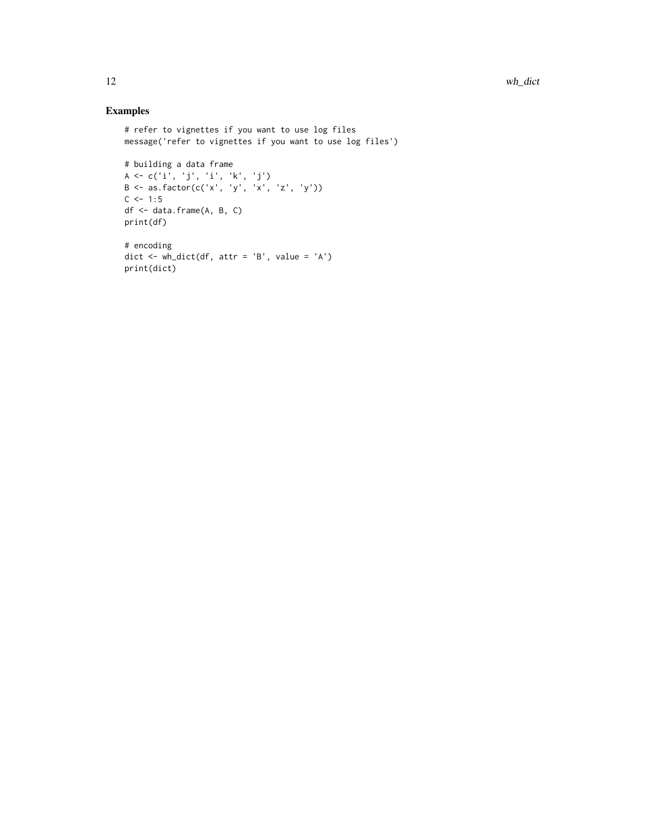```
# refer to vignettes if you want to use log files
message('refer to vignettes if you want to use log files')
# building a data frame
A <- c('i', 'j', 'i', 'k', 'j')B \le -\text{as.factor}(c('x', 'y', 'x', 'z', 'y'))C \le -1:5df <- data.frame(A, B, C)
print(df)
# encoding
dict <- wh_dict(df, attr = 'B', value = 'A')
print(dict)
```